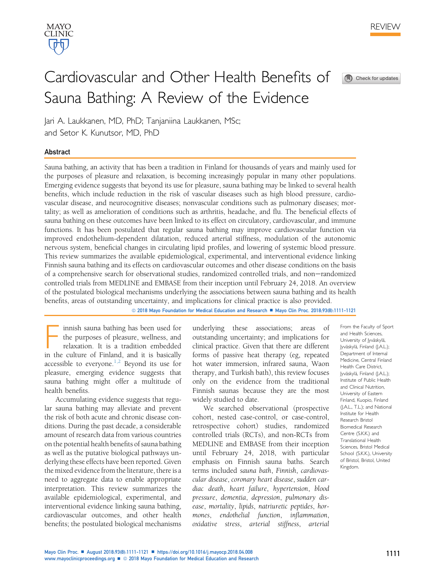



Cardiovascular and Other Health Benefits of Sauna Bathing: A Review of the Evidence

Jari A. Laukkanen, MD, PhD; Tanjaniina Laukkanen, MSc; and Setor K. Kunutsor, MD, PhD

## Abstract

Sauna bathing, an activity that has been a tradition in Finland for thousands of years and mainly used for the purposes of pleasure and relaxation, is becoming increasingly popular in many other populations. Emerging evidence suggests that beyond its use for pleasure, sauna bathing may be linked to several health benefits, which include reduction in the risk of vascular diseases such as high blood pressure, cardiovascular disease, and neurocognitive diseases; nonvascular conditions such as pulmonary diseases; mortality; as well as amelioration of conditions such as arthritis, headache, and flu. The beneficial effects of sauna bathing on these outcomes have been linked to its effect on circulatory, cardiovascular, and immune functions. It has been postulated that regular sauna bathing may improve cardiovascular function via improved endothelium-dependent dilatation, reduced arterial stiffness, modulation of the autonomic nervous system, beneficial changes in circulating lipid profiles, and lowering of systemic blood pressure. This review summarizes the available epidemiological, experimental, and interventional evidence linking Finnish sauna bathing and its effects on cardiovascular outcomes and other disease conditions on the basis of a comprehensive search for observational studies, randomized controlled trials, and non-randomized controlled trials from MEDLINE and EMBASE from their inception until February 24, 2018. An overview of the postulated biological mechanisms underlying the associations between sauna bathing and its health benefits, areas of outstanding uncertainty, and implications for clinical practice is also provided.

© 2018 Mayo Foundation for Medical Education and Research ■ Mayo Clin Proc. 2018;93(8):1111-1121

F innish sauna bathing has been used for the purposes of pleasure, wellness, and relaxation. It is a tradition embedded in the culture of Finland, and it is basically the purposes of pleasure, wellness, and relaxation. It is a tradition embedded in the culture of Finland, and it is basically accessible to everyone.<sup>[1,2](#page-8-0)</sup> Beyond its use for pleasure, emerging evidence suggests that sauna bathing might offer a multitude of health benefits.

Accumulating evidence suggests that regular sauna bathing may alleviate and prevent the risk of both acute and chronic disease conditions. During the past decade, a considerable amount of research data from various countries on the potential health benefits of sauna bathing as well as the putative biological pathways underlying these effects have been reported. Given the mixed evidence from the literature, there is a need to aggregate data to enable appropriate interpretation. This review summarizes the available epidemiological, experimental, and interventional evidence linking sauna bathing, cardiovascular outcomes, and other health benefits; the postulated biological mechanisms

underlying these associations; areas of outstanding uncertainty; and implications for clinical practice. Given that there are different forms of passive heat therapy (eg, repeated hot water immersion, infrared sauna, Waon therapy, and Turkish bath), this review focuses only on the evidence from the traditional Finnish saunas because they are the most widely studied to date.

We searched observational (prospective cohort, nested case-control, or case-control, retrospective cohort) studies, randomized controlled trials (RCTs), and non-RCTs from MEDLINE and EMBASE from their inception until February 24, 2018, with particular emphasis on Finnish sauna baths. Search terms included sauna bath, Finnish, cardiovascular disease, coronary heart disease, sudden cardiac death, heart failure, hypertension, blood pressure, dementia, depression, pulmonary disease, mortality, lipids, natriuretic peptides, hormones, endothelial function, inflammation, oxidative stress, arterial stiffness, arterial

From the Faculty of Sport and Health Sciences, University of Jyväskylä, Jyväskylä, Finland (J.A.L.); Department of Internal Medicine, Central Finland Health Care District, Jyväskylä, Finland (J.A.L.); Institute of Public Health and Clinical Nutrition, University of Eastern Finland, Kuopio, Finland (J.A.L., T.L.); and National Institute for Health Research Bristol Biomedical Research Centre (S.K.K.) and Translational Health Sciences, Bristol Medical School (S.K.K.), University of Bristol, Bristol, United Kingdom.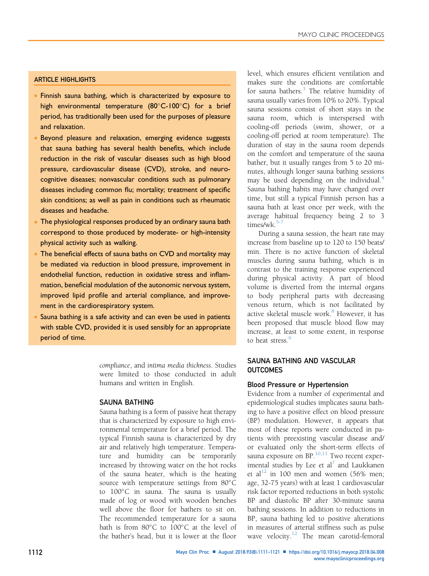## ARTICLE HIGHLIGHTS

- Finnish sauna bathing, which is characterized by exposure to high environmental temperature  $(80^{\circ}C-100^{\circ}C)$  for a brief period, has traditionally been used for the purposes of pleasure and relaxation.
- Beyond pleasure and relaxation, emerging evidence suggests that sauna bathing has several health benefits, which include reduction in the risk of vascular diseases such as high blood pressure, cardiovascular disease (CVD), stroke, and neurocognitive diseases; nonvascular conditions such as pulmonary diseases including common flu; mortality; treatment of specific skin conditions; as well as pain in conditions such as rheumatic diseases and headache.
- The physiological responses produced by an ordinary sauna bath correspond to those produced by moderate- or high-intensity physical activity such as walking.
- The beneficial effects of sauna baths on CVD and mortality may be mediated via reduction in blood pressure, improvement in endothelial function, reduction in oxidative stress and inflammation, beneficial modulation of the autonomic nervous system, improved lipid profile and arterial compliance, and improvement in the cardiorespiratory system.
- Sauna bathing is a safe activity and can even be used in patients with stable CVD, provided it is used sensibly for an appropriate period of time.

compliance, and intima media thickness. Studies were limited to those conducted in adult humans and written in English.

# SAUNA BATHING

Sauna bathing is a form of passive heat therapy that is characterized by exposure to high environmental temperature for a brief period. The typical Finnish sauna is characterized by dry air and relatively high temperature. Temperature and humidity can be temporarily increased by throwing water on the hot rocks of the sauna heater, which is the heating source with temperature settings from  $80^{\circ}$ C to 100°C in sauna. The sauna is usually made of log or wood with wooden benches well above the floor for bathers to sit on. The recommended temperature for a sauna bath is from  $80^{\circ}$ C to  $100^{\circ}$ C at the level of the bather's head, but it is lower at the floor level, which ensures efficient ventilation and makes sure the conditions are comfortable for sauna bathers. $3$  The relative humidity of sauna usually varies from 10% to 20%. Typical sauna sessions consist of short stays in the sauna room, which is interspersed with cooling-off periods (swim, shower, or a cooling-off period at room temperature). The duration of stay in the sauna room depends on the comfort and temperature of the sauna bather, but it usually ranges from 5 to 20 minutes, although longer sauna bathing sessions may be used depending on the individual.<sup>[4](#page-8-0)</sup> Sauna bathing habits may have changed over time, but still a typical Finnish person has a sauna bath at least once per week, with the average habitual frequency being 2 to 3 times/wk. $5-7$ 

During a sauna session, the heart rate may increase from baseline up to 120 to 150 beats/ min. There is no active function of skeletal muscles during sauna bathing, which is in contrast to the training response experienced during physical activity. A part of blood volume is diverted from the internal organs to body peripheral parts with decreasing venous return, which is not facilitated by active skeletal muscle work.<sup>[8](#page-8-0)</sup> However, it has been proposed that muscle blood flow may increase, at least to some extent, in response to heat stress.<sup>[9](#page-8-0)</sup>

# SAUNA BATHING AND VASCULAR **OUTCOMES**

### Blood Pressure or Hypertension

Evidence from a number of experimental and epidemiological studies implicates sauna bathing to have a positive effect on blood pressure (BP) modulation. However, it appears that most of these reports were conducted in patients with preexisting vascular disease and/ or evaluated only the short-term effects of sauna exposure on  $BP^{10,11}$  $BP^{10,11}$  $BP^{10,11}$  Two recent experimental studies by Lee et al<sup>7</sup> and Laukkanen et al<sup>[12](#page-9-0)</sup> in 100 men and women (56% men; age, 32-75 years) with at least 1 cardiovascular risk factor reported reductions in both systolic BP and diastolic BP after 30-minute sauna bathing sessions. In addition to reductions in BP, sauna bathing led to positive alterations in measures of arterial stiffness such as pulse wave velocity. $12$  The mean carotid-femoral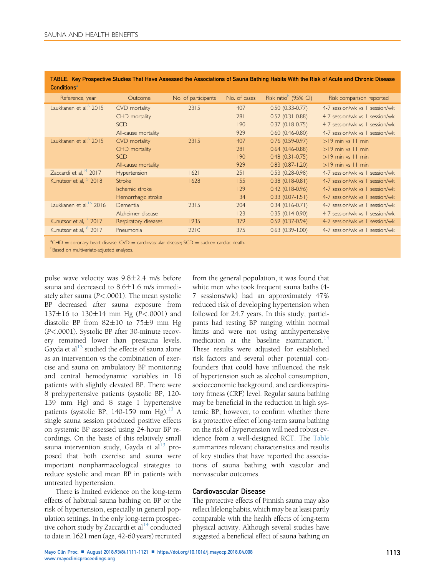| <b>Conditions</b>                   |                      |                     |              |                                  |                                |
|-------------------------------------|----------------------|---------------------|--------------|----------------------------------|--------------------------------|
| Reference, year                     | Outcome              | No. of participants | No. of cases | Risk ratio <sup>b</sup> (95% CI) | Risk comparison reported       |
| Laukkanen et al, 2015               | CVD mortality        | 2315                | 407          | $0.50(0.33-0.77)$                | 4-7 session/wk vs   session/wk |
|                                     | CHD mortality        |                     | 281          | $0.52(0.31 - 0.88)$              | 4-7 session/wk vs 1 session/wk |
|                                     | <b>SCD</b>           |                     | 190          | $0.37(0.18-0.75)$                | 4-7 session/wk vs 1 session/wk |
|                                     | All-cause mortality  |                     | 929          | $0.60(0.46 - 0.80)$              | 4-7 session/wk vs   session/wk |
| Laukkanen et al, <sup>6</sup> 2015  | CVD mortality        | 2315                | 407          | $0.76$ (0.59-0.97)               | $>$ 19 min vs 11 min           |
|                                     | CHD mortality        |                     | 281          | $0.64(0.46 - 0.88)$              | $>19$ min vs $11$ min          |
|                                     | <b>SCD</b>           |                     | 190          | $0.48$ (0.31-0.75)               | $>19$ min vs $11$ min          |
|                                     | All-cause mortality  |                     | 929          | $0.83$ $(0.87 - 1.20)$           | $>19$ min vs $11$ min          |
| Zaccardi et al, <sup>14</sup> 2017  | Hypertension         | 1621                | 251          | $0.53(0.28-0.98)$                | 4-7 session/wk vs 1 session/wk |
| Kunutsor et al. <sup>15</sup> 2018  | Stroke               | 1628                | 155          | $0.38(0.18-0.81)$                | 4-7 session/wk vs   session/wk |
|                                     | Ischemic stroke      |                     | 129          | $0.42(0.18-0.96)$                | 4-7 session/wk vs   session/wk |
|                                     | Hemorrhagic stroke   |                     | 34           | $0.33(0.07 - 1.51)$              | 4-7 session/wk vs   session/wk |
| Laukkanen et al. <sup>16</sup> 2016 | Dementia             | 2315                | 204          | $0.34(0.16-0.71)$                | 4-7 session/wk vs 1 session/wk |
|                                     | Alzheimer disease    |                     | 123          | $0.35(0.14-0.90)$                | 4-7 session/wk vs   session/wk |
| Kunutsor et al, 2017                | Respiratory diseases | 1935                | 379          | $0.59(0.37-0.94)$                | 4-7 session/wk vs   session/wk |
| Kunutsor et al, <sup>18</sup> 2017  | Pneumonia            | 2210                | 375          | $0.63$ $(0.39 - 1.00)$           | 4-7 session/wk vs 1 session/wk |

<span id="page-2-0"></span>TABLE. Key Prospective Studies That Have Assessed the Associations of Sauna Bathing Habits With the Risk of Acute and Chronic Disease Conditions<sup>a</sup>

<sup>a</sup>CHD = coronary heart disease; CVD = cardiovascular disease; SCD = sudden cardiac death.<br><sup>big</sup>ased on multiseriste adjusted apalyses

**b**Based on multivariate-adjusted analyses.

pulse wave velocity was  $9.8\pm2.4$  m/s before sauna and decreased to  $8.6{\pm}1.6$  m/s immediately after sauna (P<.0001). The mean systolic BP decreased after sauna exposure from  $137\pm16$  to  $130\pm14$  mm Hg (P<.0001) and diastolic BP from  $82\pm10$  to  $75\pm9$  mm Hg (P<.0001). Systolic BP after 30-minute recovery remained lower than presauna levels. Gayda et al $^{13}$  $^{13}$  $^{13}$  studied the effects of sauna alone as an intervention vs the combination of exercise and sauna on ambulatory BP monitoring and central hemodynamic variables in 16 patients with slightly elevated BP. There were 8 prehypertensive patients (systolic BP, 120- 139 mm Hg) and 8 stage I hypertensive patients (systolic BP, 140-159 mm Hg). $^{13}$  $^{13}$  $^{13}$  A single sauna session produced positive effects on systemic BP assessed using 24-hour BP recordings. On the basis of this relatively small sauna intervention study, Gayda et al<sup>[13](#page-9-0)</sup> proposed that both exercise and sauna were important nonpharmacological strategies to reduce systolic and mean BP in patients with untreated hypertension.

There is limited evidence on the long-term effects of habitual sauna bathing on BP or the risk of hypertension, especially in general population settings. In the only long-term prospective cohort study by Zaccardi et  $al^{14}$  $al^{14}$  $al^{14}$  conducted to date in 1621 men (age, 42-60 years) recruited

from the general population, it was found that white men who took frequent sauna baths (4- 7 sessions/wk) had an approximately 47% reduced risk of developing hypertension when followed for 24.7 years. In this study, participants had resting BP ranging within normal limits and were not using antihypertensive medication at the baseline examination. $14$ These results were adjusted for established risk factors and several other potential confounders that could have influenced the risk of hypertension such as alcohol consumption, socioeconomic background, and cardiorespiratory fitness (CRF) level. Regular sauna bathing may be beneficial in the reduction in high systemic BP; however, to confirm whether there is a protective effect of long-term sauna bathing on the risk of hypertension will need robust evidence from a well-designed RCT. The Table summarizes relevant characteristics and results of key studies that have reported the associations of sauna bathing with vascular and nonvascular outcomes.

#### Cardiovascular Disease

The protective effects of Finnish sauna may also reflect lifelong habits, which may be at least partly comparable with the health effects of long-term physical activity. Although several studies have suggested a beneficial effect of sauna bathing on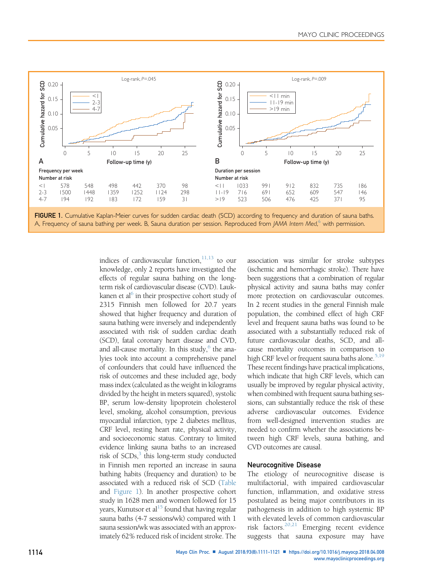

A, Frequency of sauna bathing per week. B, Sauna duration per session. Reproduced from JAMA Intern Med,<sup>[6](#page-8-0)</sup> with permission.

indices of cardiovascular function, $11,13$  to our knowledge, only 2 reports have investigated the effects of regular sauna bathing on the longterm risk of cardiovascular disease (CVD). Laukkanen et al $<sup>6</sup>$  $<sup>6</sup>$  $<sup>6</sup>$  in their prospective cohort study of</sup> 2315 Finnish men followed for 20.7 years showed that higher frequency and duration of sauna bathing were inversely and independently associated with risk of sudden cardiac death (SCD), fatal coronary heart disease and CVD, and all-cause mortality. In this study, $6$  the analyies took into account a comprehensive panel of confounders that could have influenced the risk of outcomes and these included age, body mass index (calculated as the weight in kilograms divided by the height in meters squared), systolic BP, serum low-density lipoprotein cholesterol level, smoking, alcohol consumption, previous myocardial infarction, type 2 diabetes mellitus, CRF level, resting heart rate, physical activity, and socioeconomic status. Contrary to limited evidence linking sauna baths to an increased risk of  $SCDs$ ,<sup>3</sup> this long-term study conducted in Finnish men reported an increase in sauna bathing habits (frequency and duration) to be associated with a reduced risk of SCD [\(Table](#page-2-0) and Figure 1). In another prospective cohort study in 1628 men and women followed for 15 years, Kunutsor et al $^{15}$  found that having regular sauna baths (4-7 sessions/wk) compared with 1 sauna session/wk was associated with an approximately 62% reduced risk of incident stroke. The

association was similar for stroke subtypes (ischemic and hemorrhagic stroke). There have been suggestions that a combination of regular physical activity and sauna baths may confer more protection on cardiovascular outcomes. In 2 recent studies in the general Finnish male population, the combined effect of high CRF level and frequent sauna baths was found to be associated with a substantially reduced risk of future cardiovascular deaths, SCD, and allcause mortality outcomes in comparison to high CRF level or frequent sauna baths alone.<sup>5,19</sup> These recent findings have practical implications, which indicate that high CRF levels, which can usually be improved by regular physical activity, when combined with frequent sauna bathing sessions, can substantially reduce the risk of these adverse cardiovascular outcomes. Evidence from well-designed intervention studies are needed to confirm whether the associations between high CRF levels, sauna bathing, and CVD outcomes are causal.

## Neurocognitive Disease

The etiology of neurocognitive disease is multifactorial, with impaired cardiovascular function, inflammation, and oxidative stress postulated as being major contributors in its pathogenesis in addition to high systemic BP with elevated levels of common cardiovascular risk factors.[20,21](#page-9-0) Emerging recent evidence suggests that sauna exposure may have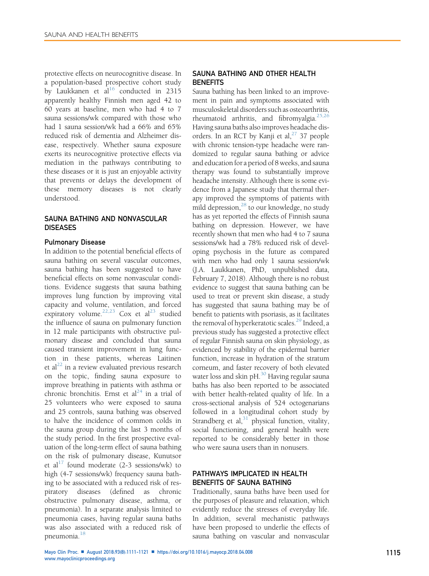protective effects on neurocognitive disease. In a population-based prospective cohort study by Laukkanen et  $al^{16}$  conducted in 2315 apparently healthy Finnish men aged 42 to 60 years at baseline, men who had 4 to 7 sauna sessions/wk compared with those who had 1 sauna session/wk had a 66% and 65% reduced risk of dementia and Alzheimer disease, respectively. Whether sauna exposure exerts its neurocognitive protective effects via mediation in the pathways contributing to these diseases or it is just an enjoyable activity that prevents or delays the development of these memory diseases is not clearly understood.

# SAUNA BATHING AND NONVASCULAR **DISEASES**

#### Pulmonary Disease

In addition to the potential beneficial effects of sauna bathing on several vascular outcomes, sauna bathing has been suggested to have beneficial effects on some nonvascular conditions. Evidence suggests that sauna bathing improves lung function by improving vital capacity and volume, ventilation, and forced expiratory volume.<sup>22,23</sup> Cox et al<sup>23</sup> studied the influence of sauna on pulmonary function in 12 male participants with obstructive pulmonary disease and concluded that sauna caused transient improvement in lung function in these patients, whereas Laitinen et al<sup>[22](#page-9-0)</sup> in a review evaluated previous research on the topic, finding sauna exposure to improve breathing in patients with asthma or chronic bronchitis. Ernst et  $al^{24}$  $al^{24}$  $al^{24}$  in a trial of 25 volunteers who were exposed to sauna and 25 controls, sauna bathing was observed to halve the incidence of common colds in the sauna group during the last 3 months of the study period. In the first prospective evaluation of the long-term effect of sauna bathing on the risk of pulmonary disease, Kunutsor et al<sup>17</sup> found moderate  $(2-3$  sessions/wk) to high (4-7 sessions/wk) frequency sauna bathing to be associated with a reduced risk of respiratory diseases (defined as chronic obstructive pulmonary disease, asthma, or pneumonia). In a separate analysis limited to pneumonia cases, having regular sauna baths was also associated with a reduced risk of pneumonia.[18](#page-9-0)

# SAUNA BATHING AND OTHER HEALTH **BENEFITS**

Sauna bathing has been linked to an improvement in pain and symptoms associated with musculoskeletal disorders such as osteoarthritis, rheumatoid arthritis, and fibromyalgia.<sup>[25,26](#page-9-0)</sup> Having sauna baths also improves headache disorders. In an RCT by Kanji et al,  $27$  37 people with chronic tension-type headache were randomized to regular sauna bathing or advice and education for a period of 8 weeks, and sauna therapy was found to substantially improve headache intensity. Although there is some evidence from a Japanese study that thermal therapy improved the symptoms of patients with mild depression,<sup>[28](#page-9-0)</sup> to our knowledge, no study has as yet reported the effects of Finnish sauna bathing on depression. However, we have recently shown that men who had 4 to 7 sauna sessions/wk had a 78% reduced risk of developing psychosis in the future as compared with men who had only 1 sauna session/wk (J.A. Laukkanen, PhD, unpublished data, February 7, 2018). Although there is no robust evidence to suggest that sauna bathing can be used to treat or prevent skin disease, a study has suggested that sauna bathing may be of benefit to patients with psoriasis, as it facilitates the removal of hyperkeratotic scales.<sup>[29](#page-9-0)</sup> Indeed, a previous study has suggested a protective effect of regular Finnish sauna on skin physiology, as evidenced by stability of the epidermal barrier function, increase in hydration of the stratum corneum, and faster recovery of both elevated water loss and skin pH.<sup>30</sup> Having regular sauna baths has also been reported to be associated with better health-related quality of life. In a cross-sectional analysis of 524 octogenarians followed in a longitudinal cohort study by Strandberg et al, $31$  physical function, vitality, social functioning, and general health were reported to be considerably better in those who were sauna users than in nonusers.

# PATHWAYS IMPLICATED IN HEALTH BENEFITS OF SAUNA BATHING

Traditionally, sauna baths have been used for the purposes of pleasure and relaxation, which evidently reduce the stresses of everyday life. In addition, several mechanistic pathways have been proposed to underlie the effects of sauna bathing on vascular and nonvascular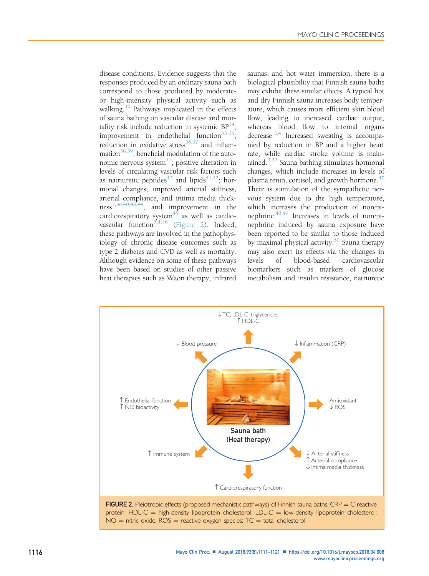disease conditions. Evidence suggests that the responses produced by an ordinary sauna bath correspond to those produced by moderateor high-intensity physical activity such as walking.<sup>[32](#page-9-0)</sup> Pathways implicated in the effects of sauna bathing on vascular disease and mortality risk include reduction in systemic  $BP^{14}$ ; improvement in endothelial function<sup>33-35</sup>; reduction in oxidative stress $36,37$  and inflammation<sup>38,39</sup>; beneficial modulation of the autonomic nervous system $11$ ; positive alteration in levels of circulating vascular risk factors such as natriuretic peptides<sup>[40](#page-9-0)</sup> and lipids<sup>41,42</sup>; hormonal changes; improved arterial stiffness, arterial compliance, and intima media thick- $ness^{7,36,40,43,44}$  $ness^{7,36,40,43,44}$  $ness^{7,36,40,43,44}$ ; and improvement in the cardiorespiratory system<sup>[45](#page-9-0)</sup> as well as cardio-vascular function<sup>[3,4,46](#page-8-0)</sup> (Figure 2). Indeed, these pathways are involved in the pathophysiology of chronic disease outcomes such as type 2 diabetes and CVD as well as mortality. Although evidence on some of these pathways have been based on studies of other passive heat therapies such as Waon therapy, infrared saunas, and hot water immersion, there is a biological plausibility that Finnish sauna baths may exhibit these similar effects. A typical hot and dry Finnish sauna increases body temperature, which causes more efficient skin blood flow, leading to increased cardiac output, whereas blood flow to internal organs decrease. $3,4$  Increased sweating is accompanied by reduction in BP and a higher heart rate, while cardiac stroke volume is main-tained.<sup>[3,32](#page-8-0)</sup> Sauna bathing stimulates hormonal changes, which include increases in levels of plasma renin, cortisol, and growth hormone.<sup>[47](#page-9-0)</sup> There is stimulation of the sympathetic nervous system due to the high temperature, which increases the production of norepi-nephrine.<sup>[48,49](#page-9-0)</sup> Increases in levels of norepinephrine induced by sauna exposure have been reported to be similar to those induced by maximal physical activity.<sup>[50](#page-9-0)</sup> Sauna therapy may also exert its effects via the changes in levels of blood-based cardiovascular biomarkers such as markers of glucose metabolism and insulin resistance, natriuretic



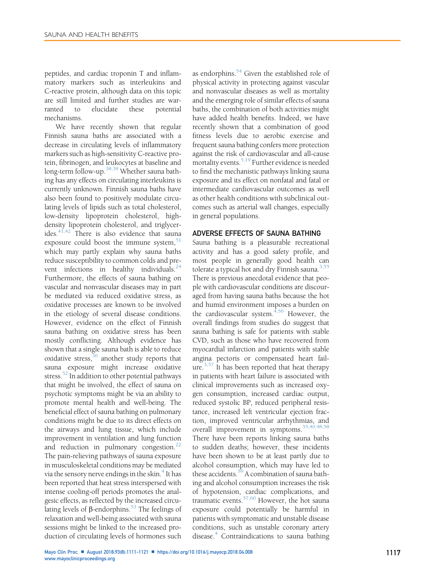peptides, and cardiac troponin T and inflammatory markers such as interleukins and C-reactive protein, although data on this topic are still limited and further studies are warranted to elucidate these potential mechanisms.

We have recently shown that regular Finnish sauna baths are associated with a decrease in circulating levels of inflammatory markers such as high-sensitivity C-reactive protein, fibrinogen, and leukocytes at baseline and long-term follow-up.[38,39](#page-9-0) Whether sauna bathing has any effects on circulating interleukins is currently unknown. Finnish sauna baths have also been found to positively modulate circulating levels of lipids such as total cholesterol, low-density lipoprotein cholesterol, highdensity lipoprotein cholesterol, and triglycerides.[41,42](#page-9-0) There is also evidence that sauna exposure could boost the immune system, $51$ which may partly explain why sauna baths reduce susceptibility to common colds and pre-vent infections in healthy individuals.<sup>[24](#page-9-0)</sup> Furthermore, the effects of sauna bathing on vascular and nonvascular diseases may in part be mediated via reduced oxidative stress, as oxidative processes are known to be involved in the etiology of several disease conditions. However, evidence on the effect of Finnish sauna bathing on oxidative stress has been mostly conflicting. Although evidence has shown that a single sauna bath is able to reduce oxidative stress, $36$  another study reports that sauna exposure might increase oxidative stress.<sup>[52](#page-9-0)</sup> In addition to other potential pathways that might be involved, the effect of sauna on psychotic symptoms might be via an ability to promote mental health and well-being. The beneficial effect of sauna bathing on pulmonary conditions might be due to its direct effects on the airways and lung tissue, which include improvement in ventilation and lung function and reduction in pulmonary congestion.<sup>[22](#page-9-0)</sup> The pain-relieving pathways of sauna exposure in musculoskeletal conditions may be mediated via the sensory nerve endings in the skin. $4$  It has been reported that heat stress interspersed with intense cooling-off periods promotes the analgesic effects, as reflected by the increased circulating levels of  $\beta$ -endorphins.<sup>[53](#page-9-0)</sup> The feelings of relaxation and well-being associated with sauna sessions might be linked to the increased production of circulating levels of hormones such

as endorphins.<sup>[54](#page-10-0)</sup> Given the established role of physical activity in protecting against vascular and nonvascular diseases as well as mortality and the emerging role of similar effects of sauna baths, the combination of both activities might have added health benefits. Indeed, we have recently shown that a combination of good fitness levels due to aerobic exercise and frequent sauna bathing confers more protection against the risk of cardiovascular and all-cause mortality events.<sup>[5,19](#page-8-0)</sup> Further evidence is needed to find the mechanistic pathways linking sauna exposure and its effect on nonfatal and fatal or intermediate cardiovascular outcomes as well as other health conditions with subclinical outcomes such as arterial wall changes, especially in general populations.

# ADVERSE EFFECTS OF SAUNA BATHING

Sauna bathing is a pleasurable recreational activity and has a good safety profile, and most people in generally good health can tolerate a typical hot and dry Finnish sauna. $3,55$ There is previous anecdotal evidence that people with cardiovascular conditions are discouraged from having sauna baths because the hot and humid environment imposes a burden on the cardiovascular system. $4,56$  However, the overall findings from studies do suggest that sauna bathing is safe for patients with stable CVD, such as those who have recovered from myocardial infarction and patients with stable angina pectoris or compensated heart fail-ure.<sup>[3,57](#page-8-0)</sup> It has been reported that heat therapy in patients with heart failure is associated with clinical improvements such as increased oxygen consumption, increased cardiac output, reduced systolic BP, reduced peripheral resistance, increased left ventricular ejection fraction, improved ventricular arrhythmias, and overall improvement in symptoms.<sup>[35,40,48,58](#page-9-0)</sup> There have been reports linking sauna baths to sudden deaths; however, these incidents have been shown to be at least partly due to alcohol consumption, which may have led to these accidents.<sup>[59](#page-10-0)</sup> A combination of sauna bathing and alcohol consumption increases the risk of hypotension, cardiac complications, and traumatic events.[57,60](#page-10-0) However, the hot sauna exposure could potentially be harmful in patients with symptomatic and unstable disease conditions, such as unstable coronary artery disease.<sup>[4](#page-8-0)</sup> Contraindications to sauna bathing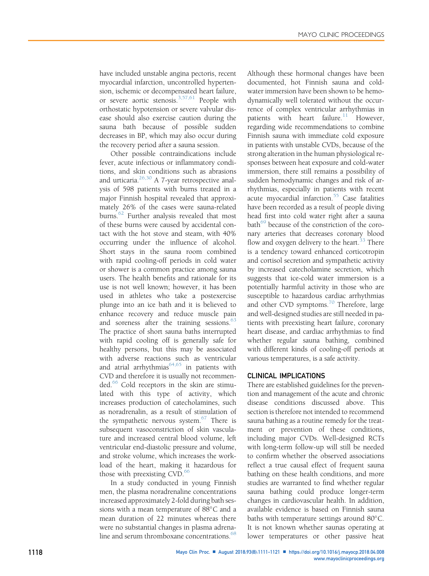have included unstable angina pectoris, recent myocardial infarction, uncontrolled hypertension, ischemic or decompensated heart failure, or severe aortic stenosis.[3,57,61](#page-8-0) People with orthostatic hypotension or severe valvular disease should also exercise caution during the sauna bath because of possible sudden decreases in BP, which may also occur during the recovery period after a sauna session.

Other possible contraindications include fever, acute infectious or inflammatory conditions, and skin conditions such as abrasions and urticaria.[26,30](#page-9-0) A 7-year retrospective analysis of 598 patients with burns treated in a major Finnish hospital revealed that approximately 26% of the cases were sauna-related burns.<sup>[62](#page-10-0)</sup> Further analysis revealed that most of these burns were caused by accidental contact with the hot stove and steam, with 40% occurring under the influence of alcohol. Short stays in the sauna room combined with rapid cooling-off periods in cold water or shower is a common practice among sauna users. The health benefits and rationale for its use is not well known; however, it has been used in athletes who take a postexercise plunge into an ice bath and it is believed to enhance recovery and reduce muscle pain and soreness after the training sessions. $63$ The practice of short sauna baths interrupted with rapid cooling off is generally safe for healthy persons, but this may be associated with adverse reactions such as ventricular and atrial arrhythmias $64,65$  in patients with CVD and therefore it is usually not recommen-ded.<sup>[66](#page-10-0)</sup> Cold receptors in the skin are stimulated with this type of activity, which increases production of catecholamines, such as noradrenalin, as a result of stimulation of the sympathetic nervous system. $67$  There is subsequent vasoconstriction of skin vasculature and increased central blood volume, left ventricular end-diastolic pressure and volume, and stroke volume, which increases the workload of the heart, making it hazardous for those with preexisting CVD.<sup>[66](#page-10-0)</sup>

In a study conducted in young Finnish men, the plasma noradrenaline concentrations increased approximately 2-fold during bath sessions with a mean temperature of 88°C and a mean duration of 22 minutes whereas there were no substantial changes in plasma adrena-line and serum thromboxane concentrations.<sup>[68](#page-10-0)</sup>

Although these hormonal changes have been documented, hot Finnish sauna and coldwater immersion have been shown to be hemodynamically well tolerated without the occurrence of complex ventricular arrhythmias in patients with heart failure.<sup>[11](#page-9-0)</sup> However, regarding wide recommendations to combine Finnish sauna with immediate cold exposure in patients with unstable CVDs, because of the strong alteration in the human physiological responses between heat exposure and cold-water immersion, there still remains a possibility of sudden hemodynamic changes and risk of arrhythmias, especially in patients with recent acute myocardial infarction.<sup>[55](#page-10-0)</sup> Case fatalities have been recorded as a result of people diving head first into cold water right after a sauna bath<sup>[69](#page-10-0)</sup> because of the constriction of the coronary arteries that decreases coronary blood flow and oxygen delivery to the heart.<sup>[33](#page-9-0)</sup> There is a tendency toward enhanced corticotropin and cortisol secretion and sympathetic activity by increased catecholamine secretion, which suggests that ice-cold water immersion is a potentially harmful activity in those who are susceptible to hazardous cardiac arrhythmias and other CVD symptoms.<sup>[70](#page-10-0)</sup> Therefore, large and well-designed studies are still needed in patients with preexisting heart failure, coronary heart disease, and cardiac arrhythmias to find whether regular sauna bathing, combined with different kinds of cooling-off periods at various temperatures, is a safe activity.

## CLINICAL IMPLICATIONS

There are established guidelines for the prevention and management of the acute and chronic disease conditions discussed above. This section is therefore not intended to recommend sauna bathing as a routine remedy for the treatment or prevention of these conditions, including major CVDs. Well-designed RCTs with long-term follow-up will still be needed to confirm whether the observed associations reflect a true causal effect of frequent sauna bathing on these health conditions, and more studies are warranted to find whether regular sauna bathing could produce longer-term changes in cardiovascular health. In addition, available evidence is based on Finnish sauna baths with temperature settings around  $80^{\circ}$ C. It is not known whether saunas operating at lower temperatures or other passive heat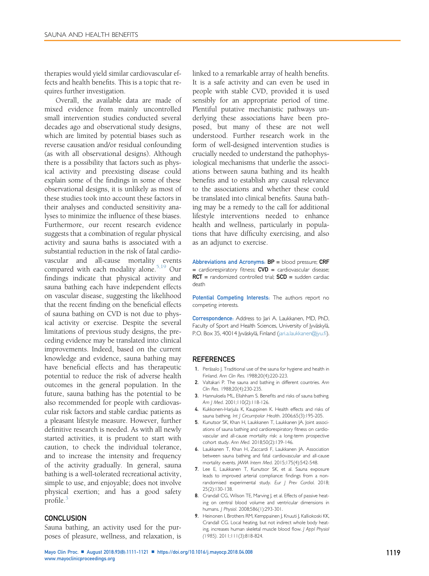<span id="page-8-0"></span>therapies would yield similar cardiovascular effects and health benefits. This is a topic that requires further investigation.

Overall, the available data are made of mixed evidence from mainly uncontrolled small intervention studies conducted several decades ago and observational study designs, which are limited by potential biases such as reverse causation and/or residual confounding (as with all observational designs). Although there is a possibility that factors such as physical activity and preexisting disease could explain some of the findings in some of these observational designs, it is unlikely as most of these studies took into account these factors in their analyses and conducted sensitivity analyses to minimize the influence of these biases. Furthermore, our recent research evidence suggests that a combination of regular physical activity and sauna baths is associated with a substantial reduction in the risk of fatal cardiovascular and all-cause mortality events compared with each modality alone.<sup>5,19</sup> Our findings indicate that physical activity and sauna bathing each have independent effects on vascular disease, suggesting the likelihood that the recent finding on the beneficial effects of sauna bathing on CVD is not due to physical activity or exercise. Despite the several limitations of previous study designs, the preceding evidence may be translated into clinical improvements. Indeed, based on the current knowledge and evidence, sauna bathing may have beneficial effects and has therapeutic potential to reduce the risk of adverse health outcomes in the general population. In the future, sauna bathing has the potential to be also recommended for people with cardiovascular risk factors and stable cardiac patients as a pleasant lifestyle measure. However, further definitive research is needed. As with all newly started activities, it is prudent to start with caution, to check the individual tolerance, and to increase the intensity and frequency of the activity gradually. In general, sauna bathing is a well-tolerated recreational activity, simple to use, and enjoyable; does not involve physical exertion; and has a good safety profile.<sup>3</sup>

## **CONCLUSION**

Sauna bathing, an activity used for the purposes of pleasure, wellness, and relaxation, is linked to a remarkable array of health benefits. It is a safe activity and can even be used in people with stable CVD, provided it is used sensibly for an appropriate period of time. Plentiful putative mechanistic pathways underlying these associations have been proposed, but many of these are not well understood. Further research work in the form of well-designed intervention studies is crucially needed to understand the pathophysiological mechanisms that underlie the associations between sauna bathing and its health benefits and to establish any causal relevance to the associations and whether these could be translated into clinical benefits. Sauna bathing may be a remedy to the call for additional lifestyle interventions needed to enhance health and wellness, particularly in populations that have difficulty exercising, and also as an adjunct to exercise.

Abbreviations and Acronyms: BP = blood pressure; CRF  $=$  cardiorespiratory fitness;  $CVD =$  cardiovascular disease;  $RCT$  = randomized controlled trial:  $SCD$  = sudden cardiac death

Potential Competing Interests: The authors report no competing interests.

Correspondence: Address to Jari A. Laukkanen, MD, PhD, Faculty of Sport and Health Sciences, University of Jyväskylä, P.O. Box 35, 40014 Jyväskylä, Finland ([jari.a.laukkanen@jyu.](mailto:jari.a.laukkanen@jyu.fi)fi).

#### REFERENCES

- 1. Peräsalo J. Traditional use of the sauna for hygiene and health in Finland. Ann Clin Res. 1988;20(4):220-223.
- 2. Valtakari P. The sauna and bathing in different countries. Ann Clin Res. 1988;20(4):230-235.
- 3. Hannuksela ML, Ellahham S. Benefits and risks of sauna bathing. Am | Med. 2001;110(2):118-126.
- 4. Kukkonen-Harjula K, Kauppinen K. Health effects and risks of sauna bathing. Int J Circumpolar Health. 2006;65(3):195-205.
- 5. Kunutsor SK, Khan H, Laukkanen T, Laukkanen JA. Joint associations of sauna bathing and cardiorespiratory fitness on cardiovascular and all-cause mortality risk: a long-term prospective cohort study. Ann Med. 2018;50(2):139-146.
- 6. Laukkanen T, Khan H, Zaccardi F, Laukkanen JA. Association between sauna bathing and fatal cardiovascular and all-cause mortality events. JAMA Intern Med. 2015;175(4):542-548.
- 7. Lee E, Laukkanen T, Kunutsor SK, et al. Sauna exposure leads to improved arterial compliance: findings from a nonrandomised experimental study. Eur J Prev Cardiol. 2018; 25(2):130-138.
- 8. Crandall CG, Wilson TE, Marving J, et al. Effects of passive heating on central blood volume and ventricular dimensions in humans. J Physiol. 2008;586(1):293-301.
- 9. Heinonen I, Brothers RM, Kemppainen J, Knuuti J, Kalliokoski KK, Crandall CG. Local heating, but not indirect whole body heating, increases human skeletal muscle blood flow. J Appl Physiol (1985). 2011;111(3):818-824.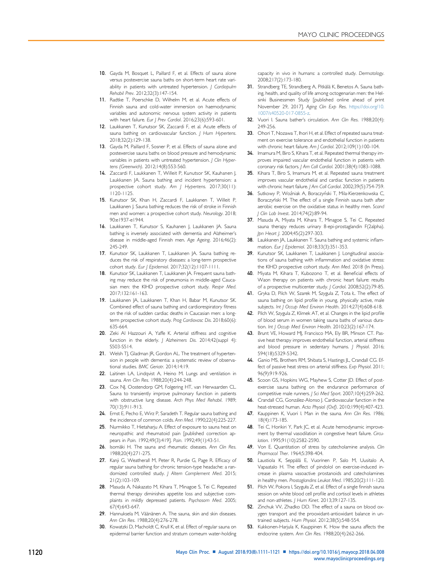- <span id="page-9-0"></span>10. Gayda M, Bosquet L, Paillard F, et al. Effects of sauna alone versus postexercise sauna baths on short-term heart rate variability in patients with untreated hypertension. J Cardiopulm Rehabil Prev. 2012;32(3):147-154.
- 11. Radtke T, Poerschke D, Wilhelm M, et al. Acute effects of Finnish sauna and cold-water immersion on haemodynamic variables and autonomic nervous system activity in patients with heart failure. Eur J Prev Cardiol. 2016;23(6):593-601.
- 12. Laukkanen T, Kunutsor SK, Zaccardi F, et al. Acute effects of sauna bathing on cardiovascular function. J Hum Hypertens. 2018;32(2):129-138.
- 13. Gayda M, Paillard F, Sosner P, et al. Effects of sauna alone and postexercise sauna baths on blood pressure and hemodynamic variables in patients with untreated hypertension. J Clin Hypertens (Greenwich). 2012;14(8):553-560.
- 14. Zaccardi F, Laukkanen T, Willeit P, Kunutsor SK, Kauhanen J, Laukkanen JA. Sauna bathing and incident hypertension: a prospective cohort study. Am J Hypertens. 2017;30(11): 1120-1125.
- 15. Kunutsor SK, Khan H, Zaccardi F, Laukkanen T, Willeit P, Laukkanen J. Sauna bathing reduces the risk of stroke in Finnish men and women: a prospective cohort study. Neurology. 2018; 90:e1937-e1944.
- 16. Laukkanen T, Kunutsor S, Kauhanen J, Laukkanen JA. Sauna bathing is inversely associated with dementia and Alzheimer's disease in middle-aged Finnish men. Age Ageing. 2016;46(2): 245-249.
- 17. Kunutsor SK, Laukkanen T, Laukkanen JA. Sauna bathing reduces the risk of respiratory diseases: a long-term prospective cohort study. Eur J Epidemiol. 2017;32(12):1107-1111.
- 18. Kunutsor SK, Laukkanen T, Laukkanen JA. Frequent sauna bathing may reduce the risk of pneumonia in middle-aged Caucasian men: the KIHD prospective cohort study. Respir Med. 2017;132:161-163.
- 19. Laukkanen JA, Laukkanen T, Khan H, Babar M, Kunutsor SK. Combined effect of sauna bathing and cardiorespiratory fitness on the risk of sudden cardiac deaths in Caucasian men: a longterm prospective cohort study. Prog Cardiovasc Dis. 2018;60(6): 635-664.
- 20. Zeki Al Hazzouri A, Yaffe K. Arterial stiffness and cognitive function in the elderly. J Alzheimers Dis. 2014;42(suppl 4): S503-S514.
- 21. Welsh TJ, Gladman JR, Gordon AL. The treatment of hypertension in people with dementia: a systematic review of observational studies. BMC Geriatr. 2014;14:19.
- 22. Laitinen LA, Lindqvist A, Heino M. Lungs and ventilation in sauna. Ann Clin Res. 1988;20(4):244-248.
- 23. Cox NJ, Oostendorp GM, Folgering HT, van Herwaarden CL. Sauna to transiently improve pulmonary function in patients with obstructive lung disease. Arch Phys Med Rehabil. 1989; 70(13):911-913.
- 24. Ernst E, Pecho E, Wirz P, Saradeth T. Regular sauna bathing and the incidence of common colds. Ann Med. 1990;22(4):225-227.
- 25. Nurmikko T, Hietaharju A. Effect of exposure to sauna heat on neuropathic and rheumatoid pain [published correction appears in Pain. 1992;49(3):419]. Pain. 1992;49(1):43-51.
- 26. Isomäki H. The sauna and rheumatic diseases. Ann Clin Res. 1988;20(4):271-275.
- 27. Kanji G, Weatherall M, Peter R, Purdie G, Page R. Efficacy of regular sauna bathing for chronic tension-type headache: a randomized controlled study. J Altern Complement Med. 2015; 21(2):103-109.
- 28. Masuda A, Nakazato M, Kihara T, Minagoe S, Tei C. Repeated thermal therapy diminishes appetite loss and subjective complaints in mildly depressed patients. Psychosom Med. 2005; 67(4):643-647.
- 29. Hannuksela M, Väänänen A. The sauna, skin and skin diseases. Ann Clin Res. 1988;20(4):276-278.
- 30. Kowatzki D, Macholdt C, Krull K, et al. Effect of regular sauna on epidermal barrier function and stratum corneum water-holding

capacity in vivo in humans: a controlled study. Dermatology. 2008;217(2):173-180.

- 31. Strandberg TE, Strandberg A, Pitkälä K, Benetos A. Sauna bathing, health, and quality of life among octogenarian men: the Helsinki Businessmen Study [published online ahead of print November 29, 2017]. Aging Clin Exp Res. [https://doi.org/10.](https://doi.org/10.1007/s40520-017-0855-z) [1007/s40520-017-0855-z.](https://doi.org/10.1007/s40520-017-0855-z)
- 32. Vuori I. Sauna bather's circulation. Ann Clin Res. 1988:20(4): 249-256.
- 33. Ohori T, Nozawa T, Ihori H, et al. Effect of repeated sauna treatment on exercise tolerance and endothelial function in patients with chronic heart failure. Am J Cardiol. 2012;109(1):100-104.
- 34. Imamura M, Biro S, Kihara T, et al. Repeated thermal therapy improves impaired vascular endothelial function in patients with coronary risk factors. J Am Coll Cardiol. 2001;38(4):1083-1088.
- 35. Kihara T, Biro S, Imamura M, et al. Repeated sauna treatment improves vascular endothelial and cardiac function in patients with chronic heart failure. J Am Coll Cardiol. 2002;39(5):754-759.
- 36. Sutkowy P, Woźniak A, Boraczyński T, Mila-Kierzenkowska C, Boraczynski M. The effect of a single Finnish sauna bath after aerobic exercise on the oxidative status in healthy men. Scand J Clin Lab Invest. 2014;74(2):89-94.
- 37. Masuda A, Miyata M, Kihara T, Minagoe S, Tei C. Repeated sauna therapy reduces urinary 8-epi-prostaglandin F(2alpha). Jpn Heart J. 2004;45(2):297-303.
- 38. Laukkanen JA, Laukkanen T. Sauna bathing and systemic inflammation. Eur J Epidemiol. 2018;33(3):351-353.
- 39. Kunutsor SK, Laukkanen T, Laukkanen J. Longitudinal associations of sauna bathing with inflammation and oxidative stress: the KIHD prospective cohort study. Ann Med. 2018 (In Press).
- 40. Miyata M, Kihara T, Kubozono T, et al. Beneficial effects of Waon therapy on patients with chronic heart failure: results of a prospective multicenter study. J Cardiol. 2008;52(2):79-85.
- 41. Gryka D, Pilch W, Szarek M, Szygula Z, Tota Ł. The effect of sauna bathing on lipid profile in young, physically active, male subjects. Int J Occup Med Environ Health. 2014;27(4):608-618.
- 42. Pilch W, Szygula Z, Klimek AT, et al. Changes in the lipid profile of blood serum in women taking sauna baths of various duration. Int J Occup Med Environ Health. 2010;23(2):167-174.
- 43. Brunt VE, Howard MJ, Francisco MA, Ely BR, Minson CT. Passive heat therapy improves endothelial function, arterial stiffness and blood pressure in sedentary humans. *J Physiol*. 2016; 594(18):5329-5342.
- 44. Ganio MS, Brothers RM, Shibata S, Hastings JL, Crandall CG. Effect of passive heat stress on arterial stiffness. Exp Physiol. 2011; 96(9):919-926.
- 45. Scoon GS, Hopkins WG, Mayhew S, Cotter JD. Effect of postexercise sauna bathing on the endurance performance of competitive male runners. J Sci Med Sport. 2007;10(4):259-262.
- 46. Crandall CG, González-Alonso I. Cardiovascular function in the heat-stressed human. Acta Physiol (Oxf). 2010;199(4):407-423.
- 47. Kauppinen K, Vuori I. Man in the sauna. Ann Clin Res. 1986; 18(4):173-185.
- 48. Tei C, Horikiri Y, Park JC, et al. Acute hemodynamic improvement by thermal vasodilation in congestive heart failure. Circulation. 1995;91(10):2582-2590.
- 49. Von E. Quantitation of stress by catecholamine analysis. Clin Pharmacol Ther. 1964;5:398-404.
- 50. Laustiola K, Seppälä E, Vuorinen P, Salo M, Uusitalo A, Vapaatalo H. The effect of pindolol on exercise-induced increase in plasma vasoactive prostanoids and catecholamines in healthy men. Prostaglandins Leukot Med. 1985;20(2):111-120.
- 51. Pilch W, Pokora I, Szyguła Z, et al. Effect of a single finnish sauna session on white blood cell profile and cortisol levels in athletes and non-athletes. J Hum Kinet. 2013;39:127-135.
- 52. Zinchuk VV, Zhadko DD. The effect of a sauna on blood oxygen transport and the prooxidant-antioxidant balance in untrained subjects. Hum Physiol. 2012;38(5):548-554.
- 53. Kukkonen-Harjula K, Kauppinen K. How the sauna affects the endocrine system. Ann Clin Res. 1988;20(4):262-266.